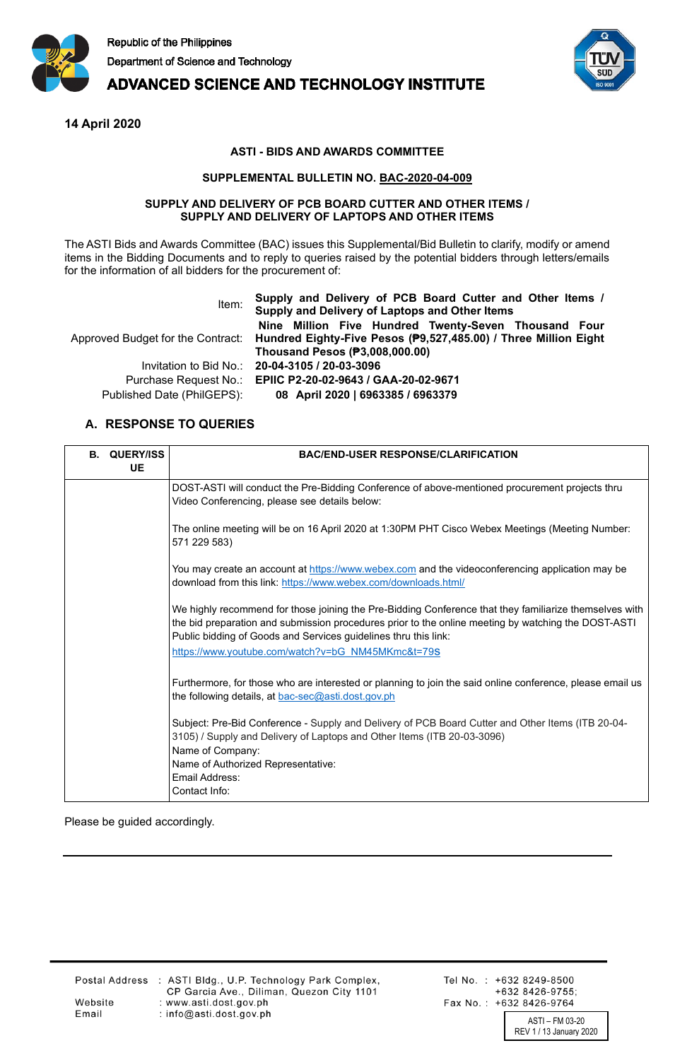

**ADVANCED SCIENCE AND TECHNOLOGY INSTITUTE** 



**14 April 2020**

## **ASTI - BIDS AND AWARDS COMMITTEE**

## **SUPPLEMENTAL BULLETIN NO. BAC-2020-04-009**

## **SUPPLY AND DELIVERY OF PCB BOARD CUTTER AND OTHER ITEMS / SUPPLY AND DELIVERY OF LAPTOPS AND OTHER ITEMS**

The ASTI Bids and Awards Committee (BAC) issues this Supplemental/Bid Bulletin to clarify, modify or amend items in the Bidding Documents and to reply to queries raised by the potential bidders through letters/emails for the information of all bidders for the procurement of:

| Item:                      | Supply and Delivery of PCB Board Cutter and Other Items /<br>Supply and Delivery of Laptops and Other Items |  |
|----------------------------|-------------------------------------------------------------------------------------------------------------|--|
|                            | Nine Million Five Hundred Twenty-Seven Thousand Four                                                        |  |
|                            | Approved Budget for the Contract: Hundred Eighty-Five Pesos (P9,527,485.00) / Three Million Eight           |  |
|                            | Thousand Pesos (P3,008,000.00)                                                                              |  |
|                            | Invitation to Bid No.: 20-04-3105 / 20-03-3096                                                              |  |
|                            | Purchase Request No.: EPIIC P2-20-02-9643 / GAA-20-02-9671                                                  |  |
| Published Date (PhilGEPS): | 08 April 2020   6963385 / 6963379                                                                           |  |

## **A. RESPONSE TO QUERIES**

| <b>B. QUERY/ISS</b><br><b>UE</b> | <b>BAC/END-USER RESPONSE/CLARIFICATION</b>                                                                                                                                                                                                                                       |
|----------------------------------|----------------------------------------------------------------------------------------------------------------------------------------------------------------------------------------------------------------------------------------------------------------------------------|
|                                  | DOST-ASTI will conduct the Pre-Bidding Conference of above-mentioned procurement projects thru<br>Video Conferencing, please see details below:                                                                                                                                  |
|                                  | The online meeting will be on 16 April 2020 at 1:30PM PHT Cisco Webex Meetings (Meeting Number:<br>571 229 583)                                                                                                                                                                  |
|                                  | You may create an account at https://www.webex.com and the videoconferencing application may be<br>download from this link: https://www.webex.com/downloads.html/                                                                                                                |
|                                  | We highly recommend for those joining the Pre-Bidding Conference that they familiarize themselves with<br>the bid preparation and submission procedures prior to the online meeting by watching the DOST-ASTI<br>Public bidding of Goods and Services guidelines thru this link: |
|                                  | https://www.youtube.com/watch?v=bG NM45MKmc&t=79S                                                                                                                                                                                                                                |
|                                  | Furthermore, for those who are interested or planning to join the said online conference, please email us<br>the following details, at bac-sec@asti.dost.gov.ph                                                                                                                  |
|                                  | Subject: Pre-Bid Conference - Supply and Delivery of PCB Board Cutter and Other Items (ITB 20-04-<br>3105) / Supply and Delivery of Laptops and Other Items (ITB 20-03-3096)<br>Name of Company:                                                                                 |
|                                  | Name of Authorized Representative:                                                                                                                                                                                                                                               |
|                                  | Email Address:<br>Contact Info:                                                                                                                                                                                                                                                  |
|                                  |                                                                                                                                                                                                                                                                                  |

Please be guided accordingly.